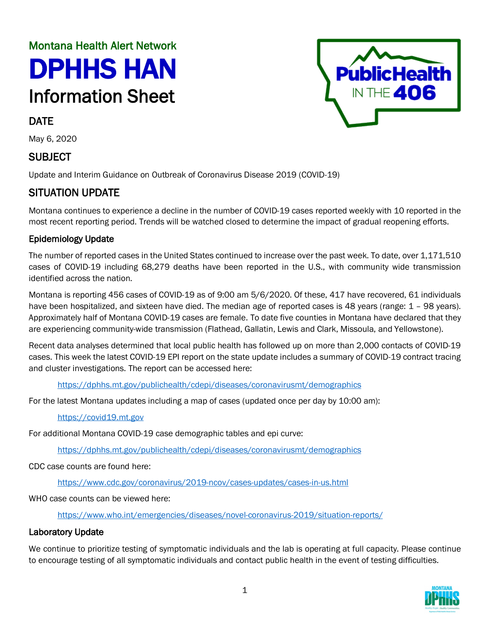# Montana Health Alert Network DPHHS HAN Information Sheet

# DATE

May 6, 2020

## SUBJECT

Update and Interim Guidance on Outbreak of Coronavirus Disease 2019 (COVID-19)

# SITUATION UPDATE

Montana continues to experience a decline in the number of COVID-19 cases reported weekly with 10 reported in the most recent reporting period. Trends will be watched closed to determine the impact of gradual reopening efforts.

#### Epidemiology Update

The number of reported cases in the United States continued to increase over the past week. To date, over 1,171,510 cases of COVID-19 including 68,279 deaths have been reported in the U.S., with community wide transmission identified across the nation.

Montana is reporting 456 cases of COVID-19 as of 9:00 am 5/6/2020. Of these, 417 have recovered, 61 individuals have been hospitalized, and sixteen have died. The median age of reported cases is 48 years (range: 1 – 98 years). Approximately half of Montana COVID-19 cases are female. To date five counties in Montana have declared that they are experiencing community-wide transmission (Flathead, Gallatin, Lewis and Clark, Missoula, and Yellowstone).

Recent data analyses determined that local public health has followed up on more than 2,000 contacts of COVID-19 cases. This week the latest COVID-19 EPI report on the state update includes a summary of COVID-19 contract tracing and cluster investigations. The report can be accessed here:

<https://dphhs.mt.gov/publichealth/cdepi/diseases/coronavirusmt/demographics>

For the latest Montana updates including a map of cases (updated once per day by 10:00 am):

#### [https://covid19.mt.gov](https://covid19.mt.gov/)

For additional Montana COVID-19 case demographic tables and epi curve:

<https://dphhs.mt.gov/publichealth/cdepi/diseases/coronavirusmt/demographics>

CDC case counts are found here:

<https://www.cdc.gov/coronavirus/2019-ncov/cases-updates/cases-in-us.html>

WHO case counts can be viewed here:

<https://www.who.int/emergencies/diseases/novel-coronavirus-2019/situation-reports/>

## Laboratory Update

We continue to prioritize testing of symptomatic individuals and the lab is operating at full capacity. Please continue to encourage testing of all symptomatic individuals and contact public health in the event of testing difficulties.



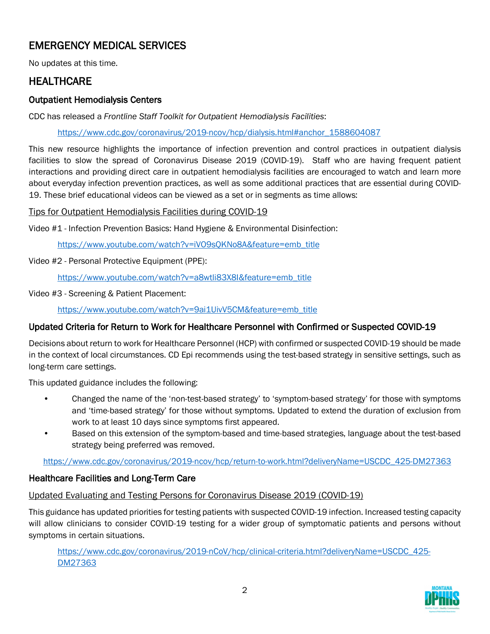# EMERGENCY MEDICAL SERVICES

No updates at this time.

## **HEALTHCARE**

## Outpatient Hemodialysis Centers

CDC has released a *Frontline Staff Toolkit for Outpatient Hemodialysis Facilities*:

[https://www.cdc.gov/coronavirus/2019-ncov/hcp/dialysis.html#anchor\\_1588604087](https://www.cdc.gov/coronavirus/2019-ncov/hcp/dialysis.html#anchor_1588604087) 

This new resource highlights the importance of infection prevention and control practices in outpatient dialysis facilities to slow the spread of Coronavirus Disease 2019 (COVID-19). Staff who are having frequent patient interactions and providing direct care in outpatient hemodialysis facilities are encouraged to watch and learn more about everyday infection prevention practices, as well as some additional practices that are essential during COVID-19. These brief educational videos can be viewed as a set or in segments as time allows:

#### Tips for Outpatient Hemodialysis Facilities during COVID-19

Video #1 - Infection Prevention Basics: Hand Hygiene & Environmental Disinfection:

[https://www.youtube.com/watch?v=iVO9sQKNo8A&feature=emb\\_title](https://www.youtube.com/watch?v=iVO9sQKNo8A&feature=emb_title)

#### Video #2 - Personal Protective Equipment (PPE):

[https://www.youtube.com/watch?v=a8wtli83X8I&feature=emb\\_title](https://www.youtube.com/watch?v=a8wtli83X8I&feature=emb_title)

Video #3 - Screening & Patient Placement:

[https://www.youtube.com/watch?v=9ai1UivV5CM&feature=emb\\_title](https://www.youtube.com/watch?v=9ai1UivV5CM&feature=emb_title)

## Updated Criteria for Return to Work for Healthcare Personnel with Confirmed or Suspected COVID-19

Decisions about return to work for Healthcare Personnel (HCP) with confirmed or suspected COVID-19 should be made in the context of local circumstances. CD Epi recommends using the test-based strategy in sensitive settings, such as long-term care settings.

This updated guidance includes the following:

- Changed the name of the 'non-test-based strategy' to 'symptom-based strategy' for those with symptoms and 'time-based strategy' for those without symptoms. Updated to extend the duration of exclusion from work to at least 10 days since symptoms first appeared.
- Based on this extension of the symptom-based and time-based strategies, language about the test-based strategy being preferred was removed.

[https://www.cdc.gov/coronavirus/2019-ncov/hcp/return-to-work.html?deliveryName=USCDC\\_425-DM27363](https://www.cdc.gov/coronavirus/2019-ncov/hcp/return-to-work.html?deliveryName=USCDC_425-DM27363)

## Healthcare Facilities and Long-Term Care

#### Updated Evaluating and Testing Persons for Coronavirus Disease 2019 (COVID-19)

This guidance has updated priorities for testing patients with suspected COVID-19 infection. Increased testing capacity will allow clinicians to consider COVID-19 testing for a wider group of symptomatic patients and persons without symptoms in certain situations.

[https://www.cdc.gov/coronavirus/2019-nCoV/hcp/clinical-criteria.html?deliveryName=USCDC\\_425-](https://www.cdc.gov/coronavirus/2019-nCoV/hcp/clinical-criteria.html?deliveryName=USCDC_425-DM27363) [DM27363](https://www.cdc.gov/coronavirus/2019-nCoV/hcp/clinical-criteria.html?deliveryName=USCDC_425-DM27363)